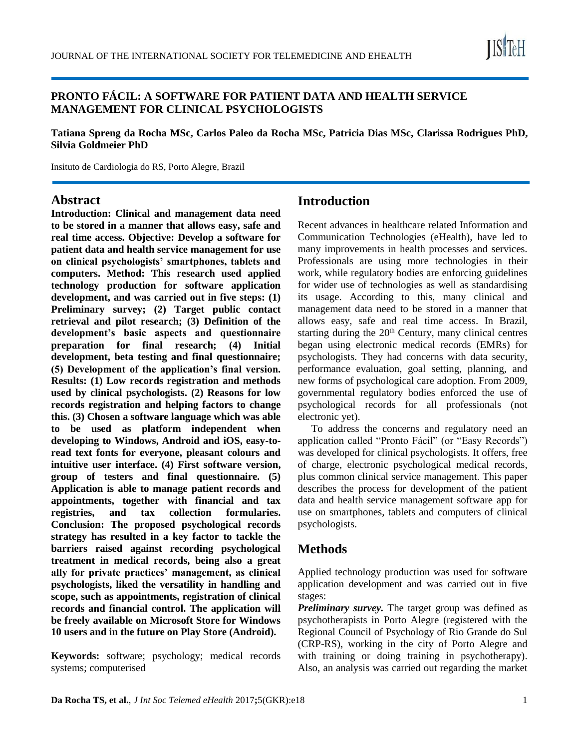

#### **PRONTO FÁCIL: A SOFTWARE FOR PATIENT DATA AND HEALTH SERVICE MANAGEMENT FOR CLINICAL PSYCHOLOGISTS**

**Tatiana Spreng da Rocha MSc, Carlos Paleo da Rocha MSc, Patricia Dias MSc, Clarissa Rodrigues PhD, Silvia Goldmeier PhD**

Insituto de Cardiologia do RS, Porto Alegre, Brazil

#### **Abstract**

**Introduction: Clinical and management data need to be stored in a manner that allows easy, safe and real time access. Objective: Develop a software for patient data and health service management for use on clinical psychologists' smartphones, tablets and computers. Method: This research used applied technology production for software application development, and was carried out in five steps: (1) Preliminary survey; (2) Target public contact retrieval and pilot research; (3) Definition of the development's basic aspects and questionnaire preparation for final research; (4) Initial development, beta testing and final questionnaire; (5) Development of the application's final version. Results: (1) Low records registration and methods used by clinical psychologists. (2) Reasons for low records registration and helping factors to change this. (3) Chosen a software language which was able to be used as platform independent when developing to Windows, Android and iOS, easy-toread text fonts for everyone, pleasant colours and intuitive user interface. (4) First software version, group of testers and final questionnaire. (5) Application is able to manage patient records and appointments, together with financial and tax registries, and tax collection formularies. Conclusion: The proposed psychological records strategy has resulted in a key factor to tackle the barriers raised against recording psychological treatment in medical records, being also a great ally for private practices' management, as clinical psychologists, liked the versatility in handling and scope, such as appointments, registration of clinical records and financial control. The application will be freely available on Microsoft Store for Windows 10 users and in the future on Play Store (Android).**

**Keywords:** software; psychology; medical records systems; computerised

# **Introduction**

Recent advances in healthcare related Information and Communication Technologies (eHealth), have led to many improvements in health processes and services. Professionals are using more technologies in their work, while regulatory bodies are enforcing guidelines for wider use of technologies as well as standardising its usage. According to this, many clinical and management data need to be stored in a manner that allows easy, safe and real time access. In Brazil, starting during the  $20<sup>th</sup>$  Century, many clinical centres began using electronic medical records (EMRs) for psychologists. They had concerns with data security, performance evaluation, goal setting, planning, and new forms of psychological care adoption. From 2009, governmental regulatory bodies enforced the use of psychological records for all professionals (not electronic yet).

To address the concerns and regulatory need an application called "Pronto Fácil" (or "Easy Records") was developed for clinical psychologists. It offers, free of charge, electronic psychological medical records, plus common clinical service management. This paper describes the process for development of the patient data and health service management software app for use on smartphones, tablets and computers of clinical psychologists.

### **Methods**

Applied technology production was used for software application development and was carried out in five stages:

*Preliminary survey.* The target group was defined as psychotherapists in Porto Alegre (registered with the Regional Council of Psychology of Rio Grande do Sul (CRP-RS), working in the city of Porto Alegre and with training or doing training in psychotherapy). Also, an analysis was carried out regarding the market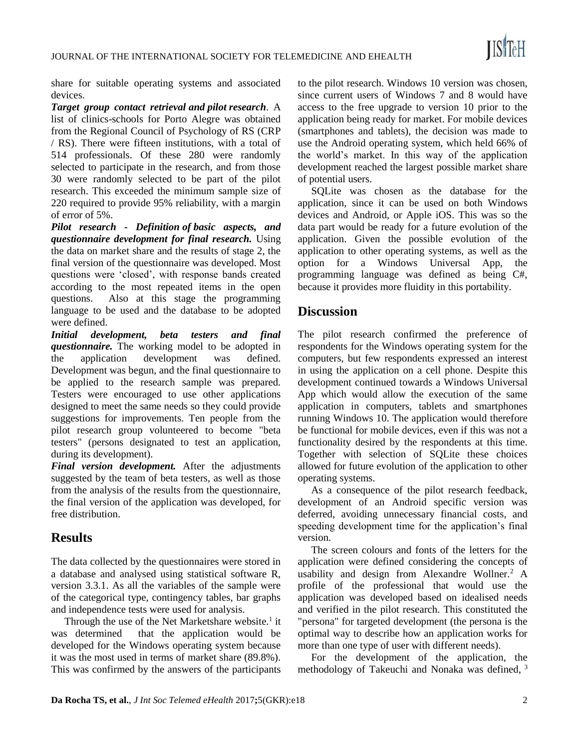share for suitable operating systems and associated devices.

*Target group contact retrieval and pilot research*. A list of clinics-schools for Porto Alegre was obtained from the Regional Council of Psychology of RS (CRP / RS). There were fifteen institutions, with a total of 514 professionals. Of these 280 were randomly selected to participate in the research, and from those 30 were randomly selected to be part of the pilot research. This exceeded the minimum sample size of 220 required to provide 95% reliability, with a margin of error of 5%.

*Pilot research - Definition of basic aspects, and questionnaire development for final research.* Using the data on market share and the results of stage 2, the final version of the questionnaire was developed. Most questions were 'closed', with response bands created according to the most repeated items in the open questions. Also at this stage the programming language to be used and the database to be adopted were defined.

*Initial development, beta testers and final questionnaire.* The working model to be adopted in the application development was defined. Development was begun, and the final questionnaire to be applied to the research sample was prepared. Testers were encouraged to use other applications designed to meet the same needs so they could provide suggestions for improvements. Ten people from the pilot research group volunteered to become "beta testers" (persons designated to test an application, during its development).

*Final version development.* After the adjustments suggested by the team of beta testers, as well as those from the analysis of the results from the questionnaire, the final version of the application was developed, for free distribution.

# **Results**

The data collected by the questionnaires were stored in a database and analysed using statistical software R, version 3.3.1. As all the variables of the sample were of the categorical type, contingency tables, bar graphs and independence tests were used for analysis.

Through the use of the Net Marketshare website.<sup>1</sup> it was determined that the application would be developed for the Windows operating system because it was the most used in terms of market share (89.8%). This was confirmed by the answers of the participants

to the pilot research. Windows 10 version was chosen, since current users of Windows 7 and 8 would have access to the free upgrade to version 10 prior to the application being ready for market. For mobile devices (smartphones and tablets), the decision was made to use the Android operating system, which held 66% of the world's market. In this way of the application development reached the largest possible market share of potential users.

SQLite was chosen as the database for the application, since it can be used on both Windows devices and Android, or Apple iOS. This was so the data part would be ready for a future evolution of the application. Given the possible evolution of the application to other operating systems, as well as the option for a Windows Universal App, the programming language was defined as being C#, because it provides more fluidity in this portability.

## **Discussion**

The pilot research confirmed the preference of respondents for the Windows operating system for the computers, but few respondents expressed an interest in using the application on a cell phone. Despite this development continued towards a Windows Universal App which would allow the execution of the same application in computers, tablets and smartphones running Windows 10. The application would therefore be functional for mobile devices, even if this was not a functionality desired by the respondents at this time. Together with selection of SQLite these choices allowed for future evolution of the application to other operating systems.

As a consequence of the pilot research feedback, development of an Android specific version was deferred, avoiding unnecessary financial costs, and speeding development time for the application's final version.

The screen colours and fonts of the letters for the application were defined considering the concepts of usability and design from Alexandre Wollner.<sup>2</sup> A profile of the professional that would use the application was developed based on idealised needs and verified in the pilot research. This constituted the "persona" for targeted development (the persona is the optimal way to describe how an application works for more than one type of user with different needs).

For the development of the application, the methodology of Takeuchi and Nonaka was defined, <sup>3</sup>